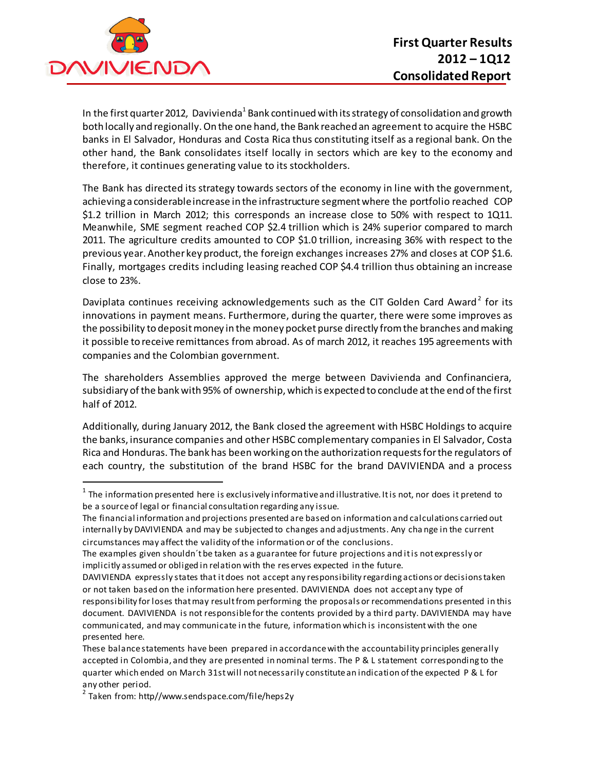

 $\ddot{\phantom{a}}$ 

In the first quarter 2012, Davivienda $^{\rm 1}$ Bank continued with its strategy of consolidation and growth both locally and regionally. On the one hand, the Bank reached an agreement to acquire the HSBC banks in El Salvador, Honduras and Costa Rica thus constituting itself as a regional bank. On the other hand, the Bank consolidates itself locally in sectors which are key to the economy and therefore, it continues generating value to its stockholders.

The Bank has directed its strategy towards sectors of the economy in line with the government, achieving a considerable increase in the infrastructure segment where the portfolio reached COP \$1.2 trillion in March 2012; this corresponds an increase close to 50% with respect to 1Q11. Meanwhile, SME segment reached COP \$2.4 trillion which is 24% superior compared to march 2011. The agriculture credits amounted to COP \$1.0 trillion, increasing 36% with respect to the previous year. Another key product, the foreign exchanges increases 27% and closes at COP \$1.6. Finally, mortgages credits including leasing reached COP \$4.4 trillion thus obtaining an increase close to 23%.

Daviplata continues receiving acknowledgements such as the CIT Golden Card Award<sup>2</sup> for its innovations in payment means. Furthermore, during the quarter, there were some improves as the possibility to deposit money in the money pocket purse directly from the branches andmaking it possible to receive remittances from abroad. As of march 2012, it reaches 195 agreements with companies and the Colombian government.

The shareholders Assemblies approved the merge between Davivienda and Confinanciera, subsidiary of the bank with 95% of ownership, which is expected to conclude at the end of the first half of 2012.

Additionally, during January 2012, the Bank closed the agreement with HSBC Holdings to acquire the banks, insurance companies and other HSBC complementary companies in El Salvador, Costa Rica and Honduras. The bank has been working on the authorization requests for the regulators of each country, the substitution of the brand HSBC for the brand DAVIVIENDA and a process

 $^{\text{1}}$  The information presented here is exclusively informative and illustrative. It is not, nor does it pretend to be a source of legal or financial consultation regarding any issue.

The financial information and projections presented are based on information and calculations carried out internally by DAVIVIENDA and may be subjected to changes and adjustments. Any cha nge in the current circumstances may affect the validity of the information or of the conclusions.

The examples given shouldn´t be taken as a guarantee for future projections and it is not expressly or implicitly assumed or obliged in relation with the res erves expected in the future.

DAVIVIENDA expressly states that it does not accept any responsibility regarding actions or decisions taken or not taken based on the information here presented. DAVIVIENDA does not accept any type of responsibility for loses that may result from performing the proposals or recommendations presented in this document. DAVIVIENDA is not responsible for the contents provided by a third party. DAVIVIENDA may have communicated, and may communicate in the future, information which is inconsistent with the one presented here.

These balance statements have been prepared in accordance with the accountability principles generally accepted in Colombia, and they are presented in nominal terms. The P & L statement corresponding to the quarter which ended on March 31st will not necessarily constitute an indication of the expected P & L for any other period.

<sup>&</sup>lt;sup>2</sup> Taken from: http//www.sendspace.com/file/heps2y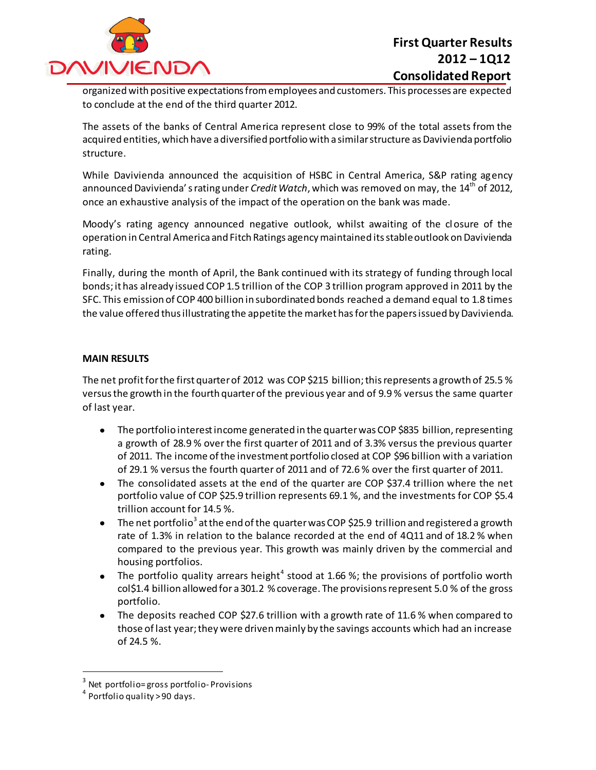

organized with positive expectations from employees and customers. This processes are expected to conclude at the end of the third quarter 2012.

The assets of the banks of Central America represent close to 99% of the total assets from the acquired entities, which have a diversified portfolio with a similar structure as Davivienda portfolio structure.

While Davivienda announced the acquisition of HSBC in Central America, S&P rating agency announced Davivienda' s rating under *Credit Watch*, which was removed on may, the 14<sup>th</sup> of 2012, once an exhaustive analysis of the impact of the operation on the bank was made.

Moody's rating agency announced negative outlook, whilst awaiting of the cl osure of the operation in Central America and Fitch Ratings agency maintained its stable outlook on Davivienda rating.

Finally, during the month of April, the Bank continued with its strategy of funding through local bonds; it has already issued COP 1.5 trillion of the COP 3 trillion program approved in 2011 by the SFC. This emission of COP 400 billion in subordinated bonds reached a demand equal to 1.8 times the value offered thus illustrating the appetite the market has for the papers issued by Davivienda.

#### **MAIN RESULTS**

The net profit for the first quarter of 2012 was COP \$215 billion; this represents a growth of 25.5 % versusthe growth in the fourth quarter of the previous year and of 9.9 % versus the same quarter of last year.

- The portfolio interest income generated in the quarter was COP \$835 billion, representing  $\bullet$ a growth of 28.9 % over the first quarter of 2011 and of 3.3% versus the previous quarter of 2011. The income of the investment portfolio closed at COP \$96 billion with a variation of 29.1 % versus the fourth quarter of 2011 and of 72.6 % over the first quarter of 2011.
- The consolidated assets at the end of the quarter are COP \$37.4 trillion where the net  $\bullet$ portfolio value of COP \$25.9 trillion represents 69.1 %, and the investments for COP \$5.4 trillion account for 14.5 %.
- The net portfolio $^3$  at the end of the quarter was COP \$25.9 <code>trillion</code> and registered a growth rate of 1.3% in relation to the balance recorded at the end of 4Q11 and of 18.2 % when compared to the previous year. This growth was mainly driven by the commercial and housing portfolios.
- The portfolio quality arrears height<sup>4</sup> stood at 1.66 %; the provisions of portfolio worth col\$1.4 billion allowed for a301.2 % coverage. The provisions represent 5.0 % of the gross portfolio.
- The deposits reached COP \$27.6 trillion with a growth rate of 11.6 % when compared to those of last year; they were driven mainly by the savings accounts which had an increase of 24.5 %.

 $\ddot{\phantom{a}}$ 

 $^3$  Net portfolio=gross portfolio-Provisions

<sup>4</sup> Portfolio quality > 90 days.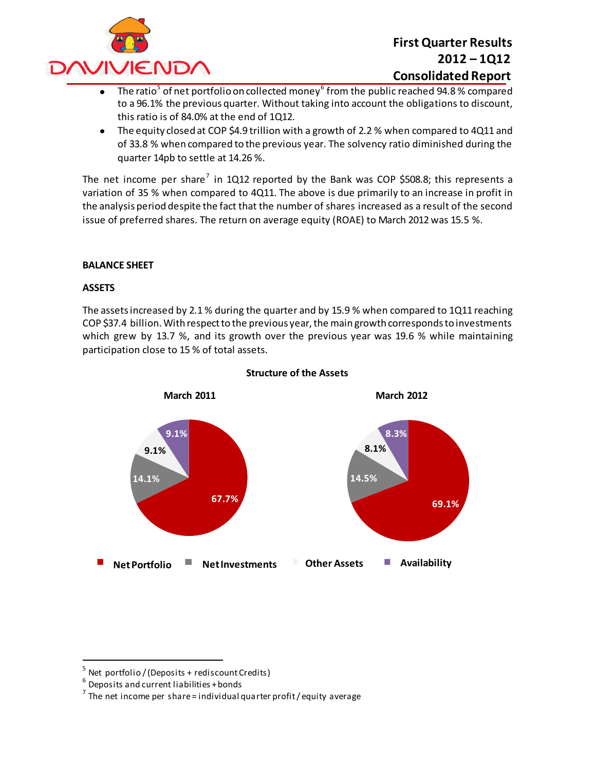

- The ratio $^5$  of net portfolio on collected money $^6$  from the public reached 94.8 % compared to a 96.1% the previous quarter. Without taking into account the obligations to discount, this ratio is of 84.0% at the end of 1Q12.
- The equity closed at COP \$4.9 trillion with a growth of 2.2 % when compared to 4Q11 and  $\bullet$ of 33.8 % when compared to the previous year. The solvency ratio diminished during the quarter 14pb to settle at 14.26 %.

The net income per share<sup>7</sup> in 1Q12 reported by the Bank was COP \$508.8; this represents a variation of 35 % when compared to 4Q11. The above is due primarily to an increase in profit in the analysis period despite the fact that the number of shares increased as a result of the second issue of preferred shares. The return on average equity (ROAE) to March 2012 was 15.5 %.

#### **BALANCE SHEET**

#### **ASSETS**

The assets increased by 2.1 % during the quarter and by 15.9 % when compared to 1Q11 reaching COP \$37.4 billion. With respect to the previous year, the main growth corresponds to investments which grew by 13.7 %, and its growth over the previous year was 19.6 % while maintaining participation close to 15 % of total assets.



#### **Structure of the Assets**

 $\overline{a}$ 

<sup>5</sup> Net portfolio / (Deposits + rediscount Credits)

 $^6$  Deposits and current liabilities + bonds

 $^7$  The net income per share = individual quarter profit / equity average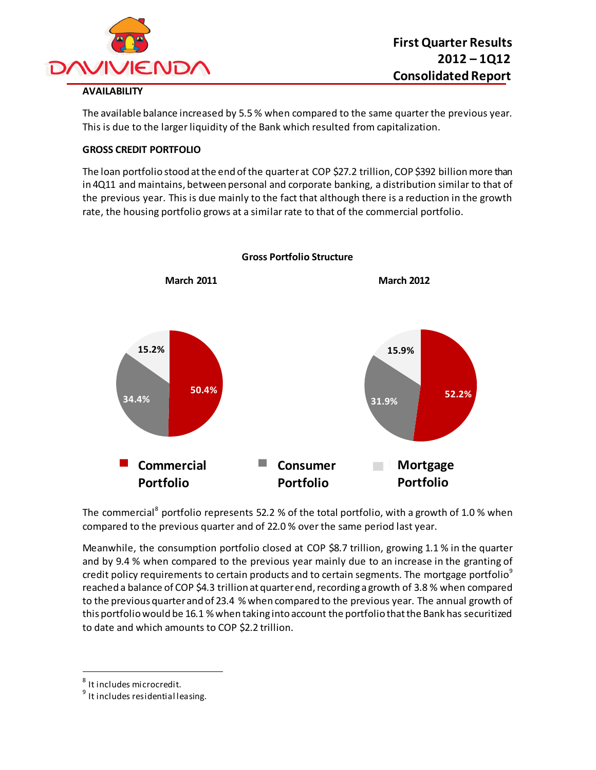

### **AVAILABILITY**

The available balance increased by 5.5 % when compared to the same quarter the previous year. This is due to the larger liquidity of the Bank which resulted from capitalization.

#### **GROSS CREDIT PORTFOLIO**

The loan portfolio stood at the end of the quarter at COP \$27.2 trillion, COP \$392 billion more than in 4Q11 and maintains, between personal and corporate banking, a distribution similar to that of the previous year. This is due mainly to the fact that although there is a reduction in the growth rate, the housing portfolio grows at a similar rate to that of the commercial portfolio.



**Gross Portfolio Structure**

The commercial<sup>8</sup> portfolio represents 52.2 % of the total portfolio, with a growth of 1.0 % when compared to the previous quarter and of 22.0 % over the same period last year.

Meanwhile, the consumption portfolio closed at COP \$8.7 trillion, growing 1.1 % in the quarter and by 9.4 % when compared to the previous year mainly due to an increase in the granting of credit policy requirements to certain products and to certain segments. The mortgage portfolio<sup>9</sup> reached a balance of COP \$4.3 trillion at quarter end, recording a growth of 3.8 % when compared to the previous quarter and of 23.4 % when compared to the previous year. The annual growth of this portfolio would be 16.1 % when taking into account the portfolio that the Bank has securitized to date and which amounts to COP \$2.2 trillion.

 $\overline{a}$ 

 $^8$  It includes microcredit.

<sup>&</sup>lt;sup>9</sup> It includes residential leasing.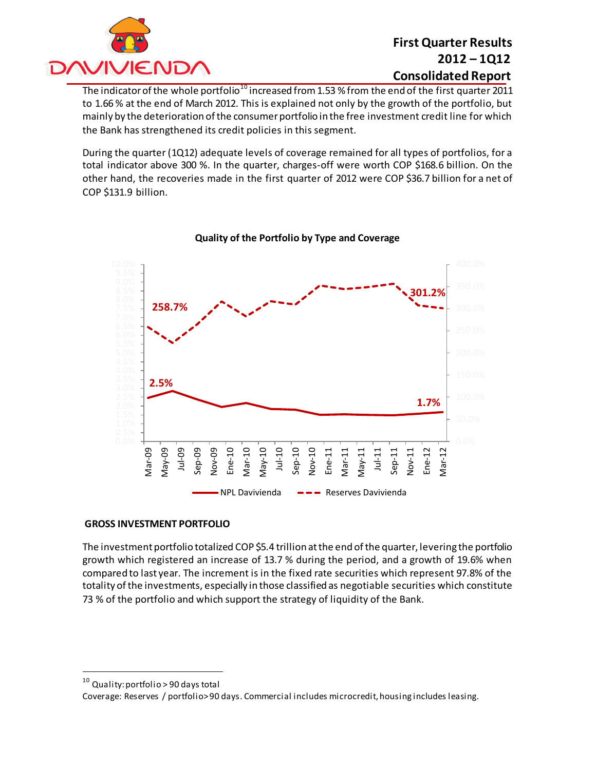

The indicator of the whole portfolio<sup>10</sup> increased from 1.53 % from the end of the first quarter 2011 to 1.66 % at the end of March 2012. This is explained not only by the growth of the portfolio, but mainly by the deterioration of the consumer portfolio in the free investment credit line for which the Bank has strengthened its credit policies in this segment.

During the quarter (1Q12) adequate levels of coverage remained for all types of portfolios, for a total indicator above 300 %. In the quarter, charges-off were worth COP \$168.6 billion. On the other hand, the recoveries made in the first quarter of 2012 were COP \$36.7 billion for a net of COP \$131.9 billion.



### **Quality of the Portfolio by Type and Coverage**

#### **GROSS INVESTMENT PORTFOLIO**

The investment portfolio totalized COP \$5.4 trillion at the end of the quarter, levering the portfolio growth which registered an increase of 13.7 % during the period, and a growth of 19.6% when compared to last year. The increment is in the fixed rate securities which represent 97.8% of the totality of the investments, especially in those classified as negotiable securities which constitute 73 % of the portfolio and which support the strategy of liquidity of the Bank.

 $\overline{a}$ 

<sup>10</sup> Quality: portfolio > 90 days total

Coverage: Reserves / portfolio> 90 days. Commercial includes microcredit, housing includes leasing.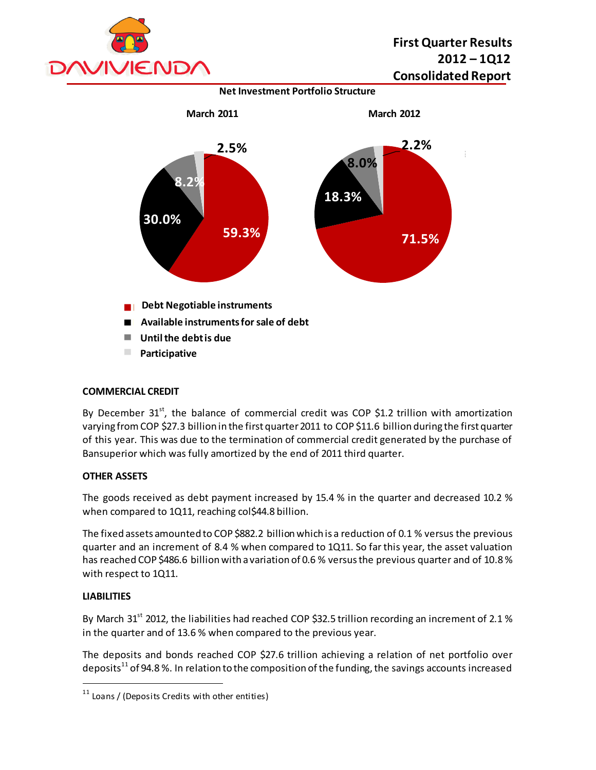

**Net Investment Portfolio Structure**



#### **COMMERCIAL CREDIT**

By December  $31^{st}$ , the balance of commercial credit was COP \$1.2 trillion with amortization varying from COP \$27.3 billion in the first quarter 2011 to COP \$11.6 billion during the first quarter of this year. This was due to the termination of commercial credit generated by the purchase of Bansuperior which was fully amortized by the end of 2011 third quarter.

#### **OTHER ASSETS**

The goods received as debt payment increased by 15.4 % in the quarter and decreased 10.2 % when compared to 1Q11, reaching col\$44.8 billion.

The fixed assets amounted to COP \$882.2 billion which is a reduction of 0.1 % versus the previous quarter and an increment of 8.4 % when compared to 1Q11. So far this year, the asset valuation has reached COP \$486.6 billion with a variation of 0.6 % versus the previous quarter and of 10.8 % with respect to 1Q11.

#### **LIABILITIES**

 $\overline{a}$ 

By March 31<sup>st</sup> 2012, the liabilities had reached COP \$32.5 trillion recording an increment of 2.1 % in the quarter and of 13.6 % when compared to the previous year.

The deposits and bonds reached COP \$27.6 trillion achieving a relation of net portfolio over deposits<sup>11</sup> of 94.8 %. In relation to the composition of the funding, the savings accounts increased

 $11$  Loans / (Deposits Credits with other entities)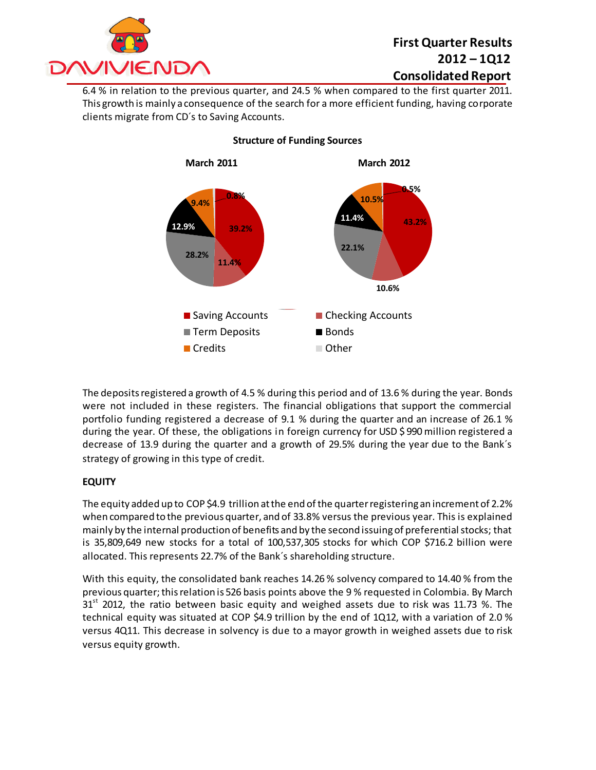

6.4 % in relation to the previous quarter, and 24.5 % when compared to the first quarter 2011. This growth is mainly a consequence of the search for a more efficient funding, having corporate clients migrate from CD´s to Saving Accounts.



#### **Structure of Funding Sources**

The deposits registered a growth of 4.5 % during this period and of 13.6 % during the year. Bonds were not included in these registers. The financial obligations that support the commercial portfolio funding registered a decrease of 9.1 % during the quarter and an increase of 26.1 % during the year. Of these, the obligations in foreign currency for USD \$ 990 million registered a decrease of 13.9 during the quarter and a growth of 29.5% during the year due to the Bank´s strategy of growing in this type of credit.

### **EQUITY**

The equity added up to COP \$4.9 trillion at the end of the quarter registering an increment of 2.2% when compared to the previous quarter, and of 33.8% versus the previous year. This is explained mainly by the internal production of benefits and by the second issuing of preferential stocks; that is 35,809,649 new stocks for a total of 100,537,305 stocks for which COP \$716.2 billion were allocated. This represents 22.7% of the Bank´s shareholding structure.

With this equity, the consolidated bank reaches 14.26 % solvency compared to 14.40 % from the previous quarter;this relation is 526 basis points above the 9 % requested in Colombia. By March  $31<sup>st</sup>$  2012, the ratio between basic equity and weighed assets due to risk was 11.73 %. The technical equity was situated at COP \$4.9 trillion by the end of 1Q12, with a variation of 2.0 % versus 4Q11. This decrease in solvency is due to a mayor growth in weighed assets due to risk versus equity growth.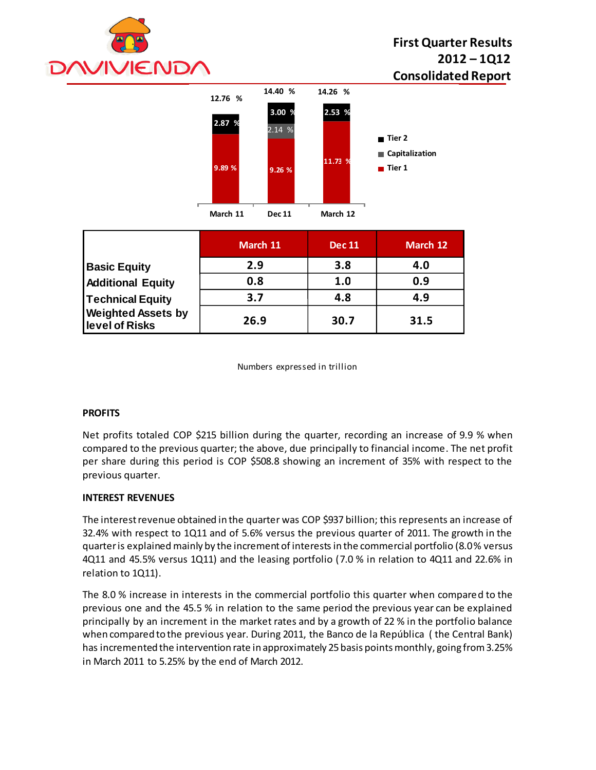



|                                             | March 11 | <b>Dec 11</b> | March 12 |
|---------------------------------------------|----------|---------------|----------|
| <b>Basic Equity</b>                         | 2.9      | 3.8           | 4.0      |
| <b>Additional Equity</b>                    | 0.8      | 1.0           | 0.9      |
| Technical Equity                            | 3.7      | 4.8           | 4.9      |
| <b>Weighted Assets by</b><br>level of Risks | 26.9     | 30.7          | 31.5     |

Numbers expressed in trillion

#### **PROFITS**

Net profits totaled COP \$215 billion during the quarter, recording an increase of 9.9 % when compared to the previous quarter; the above, due principally to financial income. The net profit per share during this period is COP \$508.8 showing an increment of 35% with respect to the previous quarter.

#### **INTEREST REVENUES**

The interest revenue obtained in the quarter was COP \$937 billion; this represents an increase of 32.4% with respect to 1Q11 and of 5.6% versus the previous quarter of 2011. The growth in the quarter is explained mainly by the increment of interestsin the commercial portfolio (8.0% versus 4Q11 and 45.5% versus 1Q11) and the leasing portfolio (7.0 % in relation to 4Q11 and 22.6% in relation to 1Q11).

The 8.0 % increase in interests in the commercial portfolio this quarter when compared to the previous one and the 45.5 % in relation to the same period the previous year can be explained principally by an increment in the market rates and by a growth of 22 % in the portfolio balance when compared to the previous year. During 2011, the Banco de la República ( the Central Bank) has incremented the intervention rate in approximately 25 basis points monthly, going from 3.25% in March 2011 to 5.25% by the end of March 2012.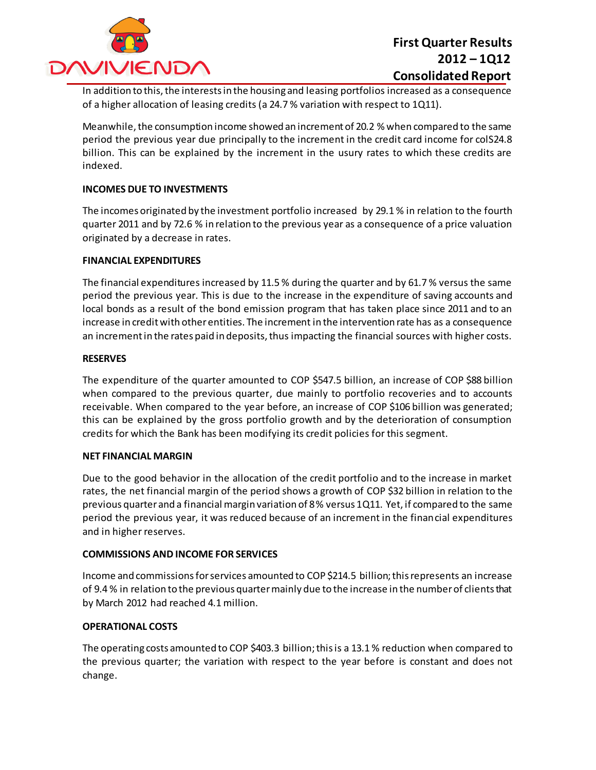

In addition to this, the interests in the housing and leasing portfolios increased as a consequence of a higher allocation of leasing credits (a 24.7 % variation with respect to 1Q11).

Meanwhile, the consumption income showed an increment of 20.2 % when compared to the same period the previous year due principally to the increment in the credit card income for colS24.8 billion. This can be explained by the increment in the usury rates to which these credits are indexed.

#### **INCOMES DUE TO INVESTMENTS**

The incomes originated by the investment portfolio increased by 29.1 % in relation to the fourth quarter 2011 and by 72.6 % in relation to the previous year as a consequence of a price valuation originated by a decrease in rates.

#### **FINANCIAL EXPENDITURES**

The financial expenditures increased by 11.5 % during the quarter and by 61.7 % versus the same period the previous year. This is due to the increase in the expenditure of saving accounts and local bonds as a result of the bond emission program that has taken place since 2011 and to an increase in credit with other entities. The increment in the intervention rate has as a consequence an increment in the rates paid in deposits, thus impacting the financial sources with higher costs.

#### **RESERVES**

The expenditure of the quarter amounted to COP \$547.5 billion, an increase of COP \$88 billion when compared to the previous quarter, due mainly to portfolio recoveries and to accounts receivable. When compared to the year before, an increase of COP \$106 billion was generated; this can be explained by the gross portfolio growth and by the deterioration of consumption credits for which the Bank has been modifying its credit policies for this segment.

#### **NET FINANCIAL MARGIN**

Due to the good behavior in the allocation of the credit portfolio and to the increase in market rates, the net financial margin of the period shows a growth of COP \$32 billion in relation to the previous quarter and a financial margin variation of 8 % versus 1Q11. Yet, if compared to the same period the previous year, it was reduced because of an increment in the financial expenditures and in higher reserves.

#### **COMMISSIONS AND INCOME FOR SERVICES**

Income and commissions for services amounted to COP \$214.5 billion; this represents an increase of 9.4 % in relation to the previous quarter mainly due to the increase in the number of clients that by March 2012 had reached 4.1 million.

#### **OPERATIONAL COSTS**

The operating costs amounted to COP \$403.3 billion; this is a 13.1 % reduction when compared to the previous quarter; the variation with respect to the year before is constant and does not change.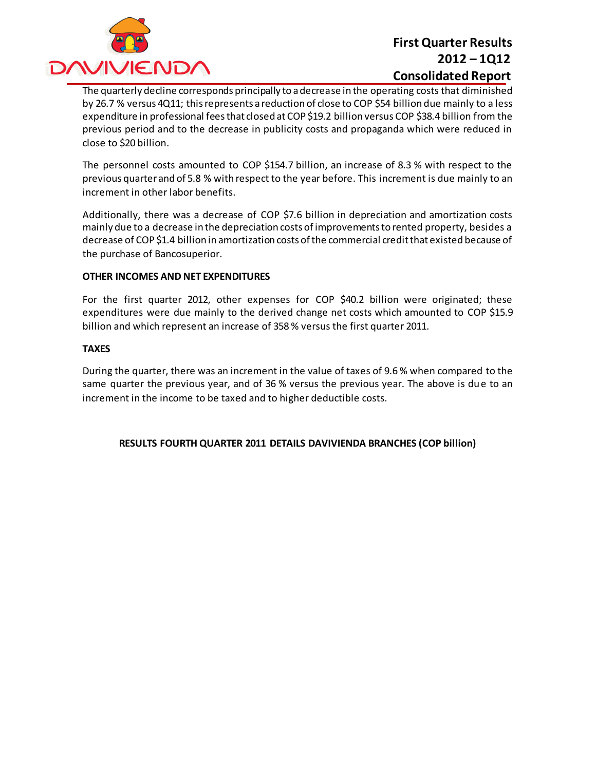

The quarterly decline corresponds principally to a decrease in the operating costs that diminished by 26.7 % versus 4Q11; this represents a reduction of close to COP \$54 billion due mainly to a less expenditure in professional feesthat closed at COP \$19.2 billion versus COP \$38.4 billion from the previous period and to the decrease in publicity costs and propaganda which were reduced in close to \$20 billion.

The personnel costs amounted to COP \$154.7 billion, an increase of 8.3 % with respect to the previous quarter and of 5.8 % with respect to the year before. This increment is due mainly to an increment in other labor benefits.

Additionally, there was a decrease of COP \$7.6 billion in depreciation and amortization costs mainly due to a decrease in the depreciation costs of improvements to rented property, besides a decrease of COP \$1.4 billion in amortization costs of the commercial credit that existed because of the purchase of Bancosuperior.

#### **OTHER INCOMES AND NET EXPENDITURES**

For the first quarter 2012, other expenses for COP \$40.2 billion were originated; these expenditures were due mainly to the derived change net costs which amounted to COP \$15.9 billion and which represent an increase of 358 % versus the first quarter 2011.

#### **TAXES**

During the quarter, there was an increment in the value of taxes of 9.6 % when compared to the same quarter the previous year, and of 36 % versus the previous year. The above is due to an increment in the income to be taxed and to higher deductible costs.

#### **RESULTS FOURTH QUARTER 2011 DETAILS DAVIVIENDA BRANCHES (COP billion)**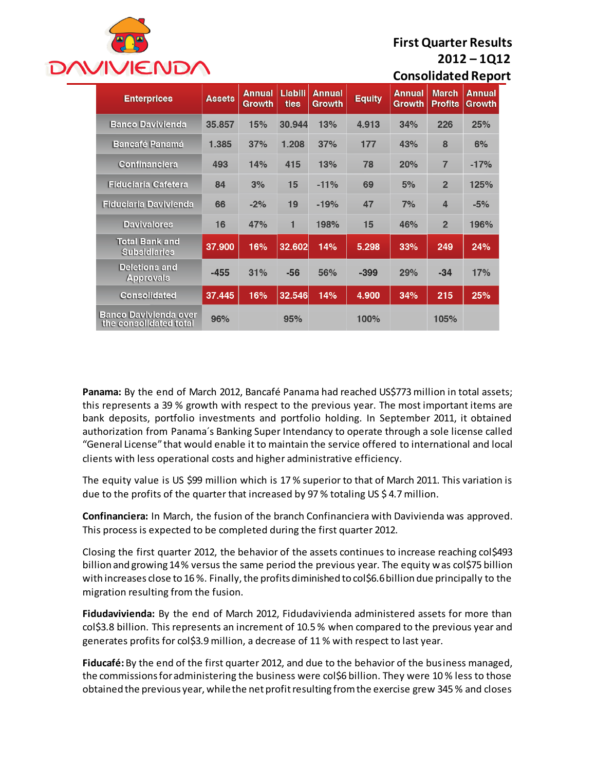

| <b>Enterprices</b>                                     | <b>Assets</b> | <b>Annual</b><br>Growth | Liabili<br>ties | <b>Annual</b><br><b>Growth</b> | <b>Equity</b> | <b>Annual</b><br>Growth | <b>March</b><br><b>Profits</b> | <b>Annual</b><br>Growth |
|--------------------------------------------------------|---------------|-------------------------|-----------------|--------------------------------|---------------|-------------------------|--------------------------------|-------------------------|
| <b>Banco Davivienda</b>                                | 35.857        | 15%                     | 30.944          | 13%                            | 4.913         | 34%                     | 226                            | 25%                     |
| <b>Bancafé Panamá</b>                                  | 1.385         | 37%                     | 1.208           | 37%                            | 177           | 43%                     | 8                              | 6%                      |
| Confinanciera                                          | 493           | 14%                     | 415             | 13%                            | 78            | 20%                     | $\overline{7}$                 | $-17%$                  |
| <b>Fiduciaria Cafetera</b>                             | 84            | 3%                      | 15              | $-11%$                         | 69            | 5%                      | $\overline{2}$                 | 125%                    |
| <b>Fiduciaria Davivienda</b>                           | 66            | $-2%$                   | 19              | $-19%$                         | 47            | 7%                      | 4                              | $-5%$                   |
| <b>Davivalores</b>                                     | 16            | 47%                     | 1               | 198%                           | 15            | 46%                     | $\overline{2}$                 | 196%                    |
| <b>Total Bank and</b><br><b>Subsidiaries</b>           | 37.900        | 16%                     | 32.602          | 14%                            | 5.298         | 33%                     | 249                            | 24%                     |
| <b>Deletions and</b><br><b>Approvals</b>               | $-455$        | 31%                     | $-56$           | 56%                            | $-399$        | 29%                     | $-34$                          | 17%                     |
| <b>Consolidated</b>                                    | 37.445        | 16%                     | 32.546          | 14%                            | 4.900         | 34%                     | 215                            | 25%                     |
| <b>Banco Davivienda over</b><br>the consolidated total | 96%           |                         | 95%             |                                | 100%          |                         | 105%                           |                         |

**Panama:** By the end of March 2012, Bancafé Panama had reached US\$773 million in total assets; this represents a 39 % growth with respect to the previous year. The most important items are bank deposits, portfolio investments and portfolio holding. In September 2011, it obtained authorization from Panama´s Banking Super Intendancy to operate through a sole license called "General License" that would enable it to maintain the service offered to international and local clients with less operational costs and higher administrative efficiency.

The equity value is US \$99 million which is 17 % superior to that of March 2011. This variation is due to the profits of the quarter that increased by 97 % totaling US \$ 4.7 million.

**Confinanciera:** In March, the fusion of the branch Confinanciera with Davivienda was approved. This process is expected to be completed during the first quarter 2012.

Closing the first quarter 2012, the behavior of the assets continues to increase reaching col\$493 billion and growing 14% versus the same period the previous year. The equity was col\$75 billion with increases close to 16 %. Finally, the profits diminished to col\$6.6 billion due principally to the migration resulting from the fusion.

**Fidudavivienda:** By the end of March 2012, Fidudavivienda administered assets for more than col\$3.8 billion. This represents an increment of 10.5 % when compared to the previous year and generates profits for col\$3.9 million, a decrease of 11 % with respect to last year.

**Fiducafé:** By the end of the first quarter 2012, and due to the behavior of the business managed, the commissions for administering the business were col\$6 billion. They were 10 % less to those obtained the previous year, while the net profit resulting from the exercise grew 345 % and closes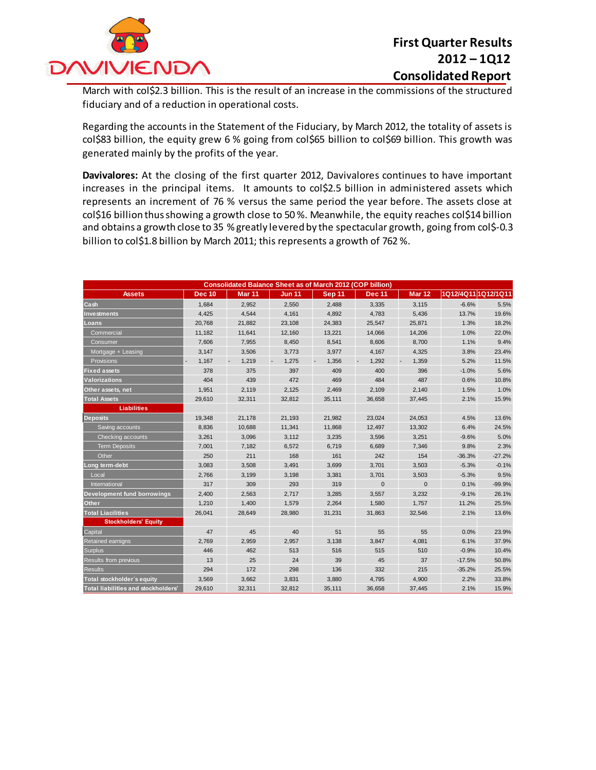

March with col\$2.3 billion. This is the result of an increase in the commissions of the structured fiduciary and of a reduction in operational costs.

Regarding the accounts in the Statement of the Fiduciary, by March 2012, the totality of assets is col\$83 billion, the equity grew 6 % going from col\$65 billion to col\$69 billion. This growth was generated mainly by the profits of the year.

**Davivalores:** At the closing of the first quarter 2012, Davivalores continues to have important increases in the principal items. It amounts to col\$2.5 billion in administered assets which represents an increment of 76 % versus the same period the year before. The assets close at col\$16 billion thus showing a growth close to 50 %. Meanwhile, the equity reaches col\$14 billion and obtains a growth close to 35 % greatly levered by the spectacular growth, going from col\$-0.3 billion to col\$1.8 billion by March 2011; this represents a growth of 762%.

| <b>Consolidated Balance Sheet as of March 2012 (COP billion)</b> |               |               |               |               |               |                   |                     |          |
|------------------------------------------------------------------|---------------|---------------|---------------|---------------|---------------|-------------------|---------------------|----------|
| <b>Assets</b>                                                    | <b>Dec 10</b> | <b>Mar 11</b> | <b>Jun 11</b> | <b>Sep 11</b> | <b>Dec 11</b> | Mar <sub>12</sub> | 1Q12/4Q11 1Q12/1Q11 |          |
| Cash                                                             | 1,684         | 2,952         | 2,550         | 2,488         | 3,335         | 3,115             | $-6.6%$             | 5.5%     |
| <b>Investments</b>                                               | 4,425         | 4,544         | 4,161         | 4,892         | 4,783         | 5,436             | 13.7%               | 19.6%    |
| Loans                                                            | 20,768        | 21,882        | 23,108        | 24,383        | 25,547        | 25,871            | 1.3%                | 18.2%    |
| Commercial                                                       | 11,182        | 11,641        | 12.160        | 13,221        | 14.066        | 14,206            | 1.0%                | 22.0%    |
| Consumer                                                         | 7,606         | 7,955         | 8,450         | 8,541         | 8,606         | 8,700             | 1.1%                | 9.4%     |
| Mortgage + Leasing                                               | 3,147         | 3,506         | 3,773         | 3,977         | 4,167         | 4,325             | 3.8%                | 23.4%    |
| Provisions                                                       | 1,167         | 1,219         | 1,275         | 1,356         | 1,292         | 1,359             | 5.2%                | 11.5%    |
| <b>Fixed assets</b>                                              | 378           | 375           | 397           | 409           | 400           | 396               | $-1.0%$             | 5.6%     |
| Valorizations                                                    | 404           | 439           | 472           | 469           | 484           | 487               | 0.6%                | 10.8%    |
| Other assets, net                                                | 1,951         | 2,119         | 2,125         | 2,469         | 2,109         | 2,140             | 1.5%                | 1.0%     |
| <b>Total Assets</b>                                              | 29.610        | 32.311        | 32.812        | 35.111        | 36.658        | 37.445            | 2.1%                | 15.9%    |
| Liabilities                                                      |               |               |               |               |               |                   |                     |          |
| <b>Deposits</b>                                                  | 19,348        | 21,178        | 21,193        | 21,982        | 23,024        | 24,053            | 4.5%                | 13.6%    |
| Saving accounts                                                  | 8,836         | 10,688        | 11,341        | 11,868        | 12,497        | 13,302            | 6.4%                | 24.5%    |
| Checking accounts                                                | 3,261         | 3,096         | 3,112         | 3,235         | 3,596         | 3,251             | $-9.6%$             | 5.0%     |
| <b>Term Deposits</b>                                             | 7,001         | 7,182         | 6,572         | 6,719         | 6,689         | 7,346             | 9.8%                | 2.3%     |
| Other                                                            | 250           | 211           | 168           | 161           | 242           | 154               | $-36.3%$            | $-27.2%$ |
| Long term-debt                                                   | 3,083         | 3,508         | 3,491         | 3,699         | 3,701         | 3,503             | $-5.3%$             | $-0.1%$  |
| Local                                                            | 2,766         | 3,199         | 3,198         | 3,381         | 3,701         | 3,503             | $-5.3%$             | 9.5%     |
| International                                                    | 317           | 309           | 293           | 319           | $\mathbf{0}$  | $\mathbf{0}$      | 0.1%                | $-99.9%$ |
| Development fund borrowings                                      | 2,400         | 2,563         | 2,717         | 3,285         | 3,557         | 3,232             | $-9.1%$             | 26.1%    |
| Other                                                            | 1,210         | 1,400         | 1,579         | 2,264         | 1,580         | 1,757             | 11.2%               | 25.5%    |
| <b>Total Liacilities</b>                                         | 26,041        | 28,649        | 28,980        | 31,231        | 31,863        | 32,546            | 2.1%                | 13.6%    |
| <b>Stockholders' Equity</b>                                      |               |               |               |               |               |                   |                     |          |
| Capital                                                          | 47            | 45            | 40            | 51            | 55            | 55                | 0.0%                | 23.9%    |
| Retained earnigns                                                | 2,769         | 2,959         | 2,957         | 3,138         | 3,847         | 4,081             | 6.1%                | 37.9%    |
| <b>Surplus</b>                                                   | 446           | 462           | 513           | 516           | 515           | 510               | $-0.9%$             | 10.4%    |
| Results from previous                                            | 13            | 25            | 24            | 39            | 45            | 37                | $-17.5%$            | 50.8%    |
| <b>Results</b>                                                   | 294           | 172           | 298           | 136           | 332           | 215               | $-35.2%$            | 25.5%    |
| Total stockholder's equity                                       | 3,569         | 3,662         | 3,831         | 3,880         | 4,795         | 4,900             | 2.2%                | 33.8%    |
| Total liabilities and stockholders'                              | 29,610        | 32,311        | 32,812        | 35,111        | 36,658        | 37,445            | 2.1%                | 15.9%    |